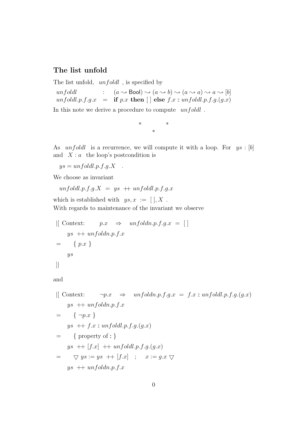## The list unfold

The list unfold,  $unfold$ , is specified by

unfoldl :  $(a \rightsquigarrow \text{Bool}) \rightsquigarrow (a \rightsquigarrow b) \rightsquigarrow (a \rightsquigarrow a) \rightsquigarrow a \rightsquigarrow [b]$ unfoldl.p.f.g.x = if p.x then [] else  $f.x:$  unfoldl.p.f.g.(g.x)

In this note we derive a procedure to compute  $unfoldl$ .

\* \* \*

As *unfoldl* is a recurrence, we will compute it with a loop. For  $ys : [b]$ and  $X : a$  the loop's postcondition is

 $ys = unfoldl.p.f.g.X$ .

We choose as invariant

$$
unfoldl.p.f.g.X = ys + unfoldl.p.f.g.x
$$

which is established with  $ys, x := [ | , X$ . With regards to maintenance of the invariant we observe

$$
\begin{aligned}\n\left[ \begin{array}{lll}\n \text{Context:} & p.x & \Rightarrow & \text{unfold}n.p.f.g.x = \n \end{array} \right] \\
\text{ys} & + \text{unfold}n.p.f.x \\
& = & \{ p.x \} \\
\text{ys}\n\end{aligned}
$$

and

$$
\begin{aligned}\n\left[ \begin{array}{lll}\n \text{Context:} & \neg p.x & \Rightarrow & \text{unfold} \text{dn.p.f.g.} x = f.x : \text{unfoldl.p.f.g.}(g.x) \\
 & ys + \text{unfoldl.p.f.x} \\
 & = \{ \neg p.x \} \\
 & ys + \text{f.x : \text{unfoldl.p.f.g.}(g.x)} \\
 & = \{ \text{property of :} \} \\
 & ys + \left[ \text{f.x} \right] + \text{unfoldl.p.f.g.}(g.x) \\
 & = \nabla ys := ys + \left[ \text{f.x} \right] ; & x := g.x \nabla \\
 & ys + \text{unfoldl.p.f.x}\n\end{array}\n\right]\n\end{aligned}
$$